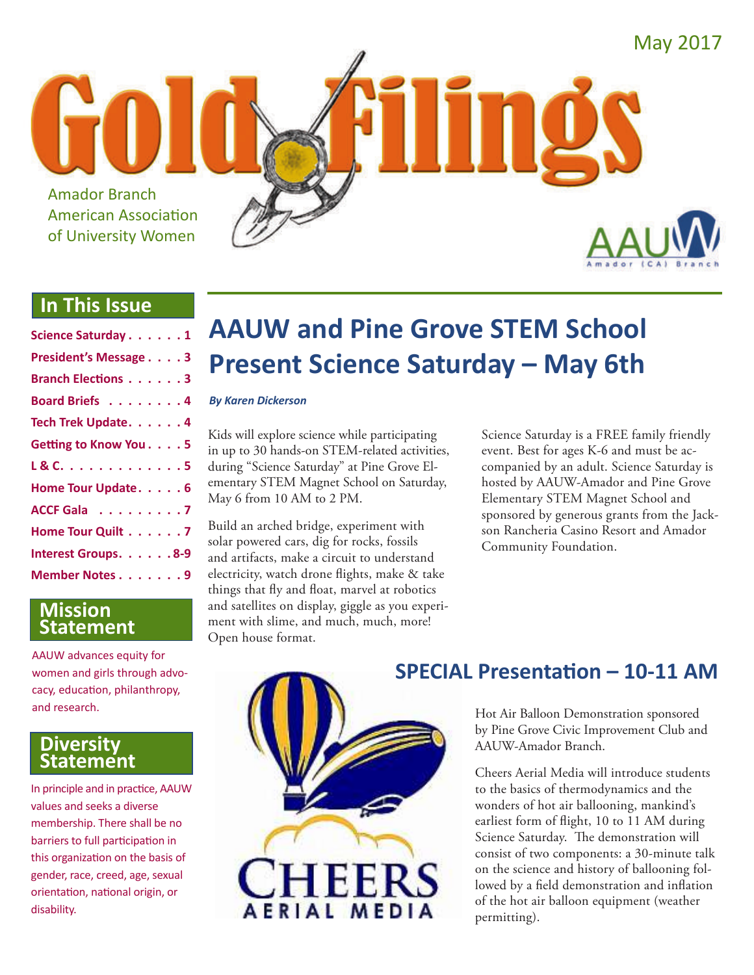

## **In This Issue**

| Science Saturday 1        |
|---------------------------|
| President's Message 3     |
| <b>Branch Elections 3</b> |
| Board Briefs 4            |
| Tech Trek Update. 4       |
| Getting to Know You. 5    |
| L & C. 5                  |
| Home Tour Update. 6       |
| ACCF Gala 7               |
| Home Tour Quilt 7         |
| Interest Groups. 8-9      |
| Member Notes 9            |

### **Mission Statement**

AAUW advances equity for women and girls through advocacy, education, philanthropy, and research.

### **Diversity Statement**

In principle and in practice, AAUW values and seeks a diverse membership. There shall be no barriers to full participation in this organization on the basis of gender, race, creed, age, sexual orientation, national origin, or disability.

# **AAUW and Pine Grove STEM School Present Science Saturday – May 6th**

#### *By Karen Dickerson*

Kids will explore science while participating in up to 30 hands-on STEM-related activities, during "Science Saturday" at Pine Grove Elementary STEM Magnet School on Saturday, May 6 from 10 AM to 2 PM.

Build an arched bridge, experiment with solar powered cars, dig for rocks, fossils and artifacts, make a circuit to understand electricity, watch drone flights, make & take things that fly and float, marvel at robotics and satellites on display, giggle as you experiment with slime, and much, much, more! Open house format.

Science Saturday is a FREE family friendly event. Best for ages K-6 and must be accompanied by an adult. Science Saturday is hosted by AAUW-Amador and Pine Grove Elementary STEM Magnet School and sponsored by generous grants from the Jackson Rancheria Casino Resort and Amador Community Foundation.



## **SPECIAL Presentation – 10-11 AM**

Hot Air Balloon Demonstration sponsored by Pine Grove Civic Improvement Club and AAUW-Amador Branch.

Cheers Aerial Media will introduce students to the basics of thermodynamics and the wonders of hot air ballooning, mankind's earliest form of flight, 10 to 11 AM during Science Saturday. The demonstration will consist of two components: a 30-minute talk on the science and history of ballooning followed by a field demonstration and inflation of the hot air balloon equipment (weather permitting).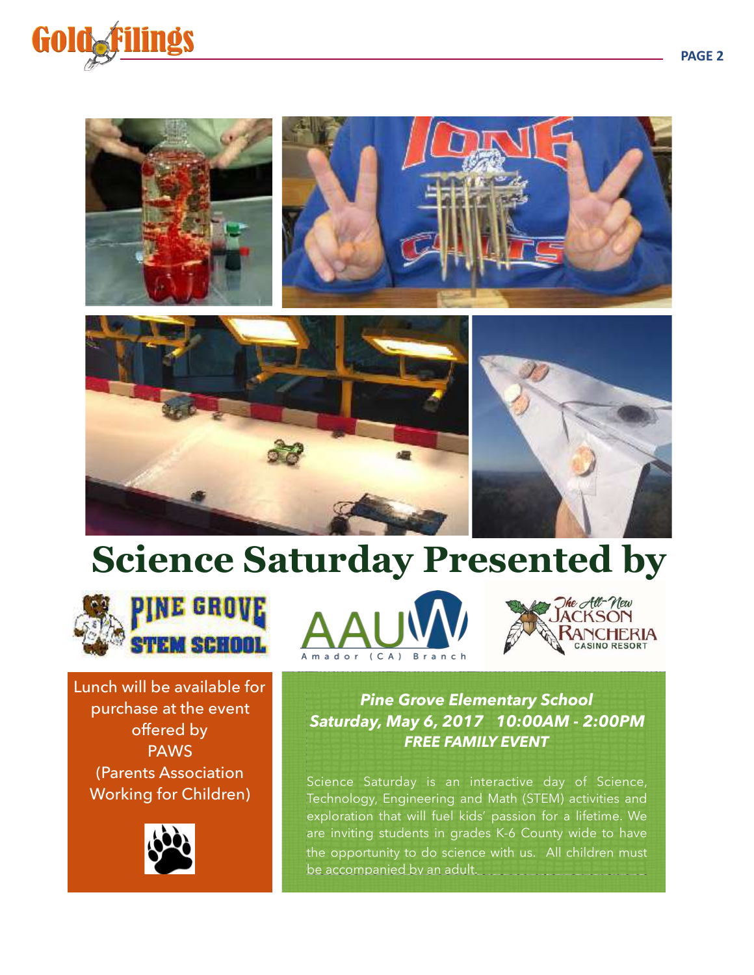









Lunch will be available for purchase at the event offered by PAWS (Parents Association Working for Children)







*Pine Grove Elementary School Saturday, May 6, 2017 10:00AM - 2:00PM FREE FAMILY EVENT* 

Science Saturday is an interactive day of Science, Technology, Engineering and Math (STEM) activities and exploration that will fuel kids' passion for a lifetime. We are inviting students in grades K-6 County wide to have the opportunity to do science with us. All children must be accompanied by an adult.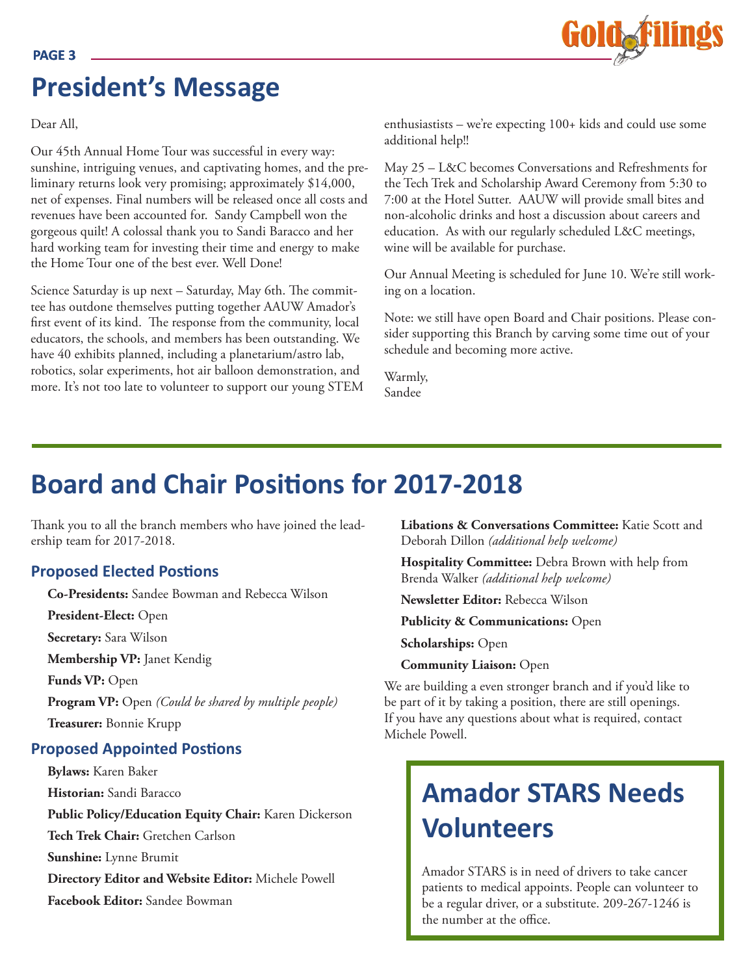

# **President's Message**

Dear All,

Our 45th Annual Home Tour was successful in every way: sunshine, intriguing venues, and captivating homes, and the preliminary returns look very promising; approximately \$14,000, net of expenses. Final numbers will be released once all costs and revenues have been accounted for. Sandy Campbell won the gorgeous quilt! A colossal thank you to Sandi Baracco and her hard working team for investing their time and energy to make the Home Tour one of the best ever. Well Done!

Science Saturday is up next – Saturday, May 6th. The committee has outdone themselves putting together AAUW Amador's first event of its kind. The response from the community, local educators, the schools, and members has been outstanding. We have 40 exhibits planned, including a planetarium/astro lab, robotics, solar experiments, hot air balloon demonstration, and more. It's not too late to volunteer to support our young STEM enthusiastists – we're expecting 100+ kids and could use some additional help!!

May 25 – L&C becomes Conversations and Refreshments for the Tech Trek and Scholarship Award Ceremony from 5:30 to 7:00 at the Hotel Sutter. AAUW will provide small bites and non-alcoholic drinks and host a discussion about careers and education. As with our regularly scheduled L&C meetings, wine will be available for purchase.

Our Annual Meeting is scheduled for June 10. We're still working on a location.

Note: we still have open Board and Chair positions. Please consider supporting this Branch by carving some time out of your schedule and becoming more active.

Warmly, Sandee

# **Board and Chair Positions for 2017-2018**

Thank you to all the branch members who have joined the leadership team for 2017-2018.

### **Proposed Elected Postions**

**Co-Presidents:** Sandee Bowman and Rebecca Wilson

**President-Elect:** Open

**Secretary:** Sara Wilson

**Membership VP:** Janet Kendig

**Funds VP:** Open

**Program VP:** Open *(Could be shared by multiple people)*

**Treasurer:** Bonnie Krupp

#### **Proposed Appointed Postions**

**Bylaws:** Karen Baker **Historian:** Sandi Baracco **Public Policy/Education Equity Chair:** Karen Dickerson **Tech Trek Chair:** Gretchen Carlson **Sunshine:** Lynne Brumit **Directory Editor and Website Editor:** Michele Powell **Facebook Editor:** Sandee Bowman

**Libations & Conversations Committee:** Katie Scott and Deborah Dillon *(additional help welcome)*

**Hospitality Committee:** Debra Brown with help from Brenda Walker *(additional help welcome)*

**Newsletter Editor:** Rebecca Wilson

**Publicity & Communications:** Open

**Scholarships:** Open

**Community Liaison:** Open

We are building a even stronger branch and if you'd like to be part of it by taking a position, there are still openings. If you have any questions about what is required, contact Michele Powell.

# **Amador STARS Needs Volunteers**

Amador STARS is in need of drivers to take cancer patients to medical appoints. People can volunteer to be a regular driver, or a substitute. 209-267-1246 is the number at the office.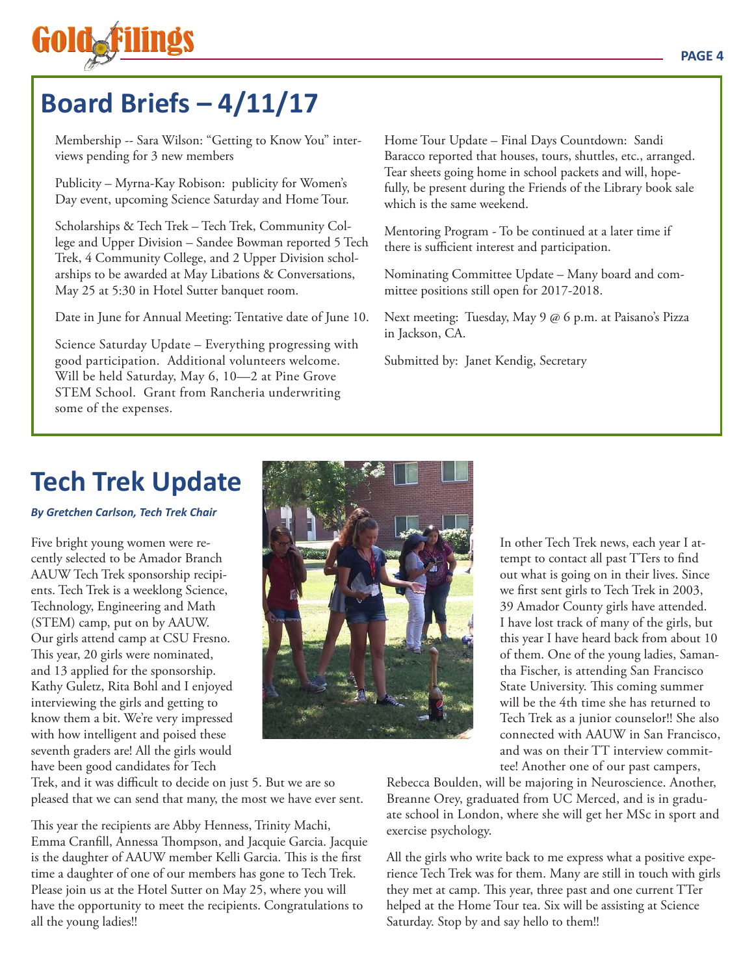# **Board Briefs – 4/11/17**

Membership -- Sara Wilson: "Getting to Know You" interviews pending for 3 new members

Publicity – Myrna-Kay Robison: publicity for Women's Day event, upcoming Science Saturday and Home Tour.

Scholarships & Tech Trek – Tech Trek, Community College and Upper Division – Sandee Bowman reported 5 Tech Trek, 4 Community College, and 2 Upper Division scholarships to be awarded at May Libations & Conversations, May 25 at 5:30 in Hotel Sutter banquet room.

Date in June for Annual Meeting: Tentative date of June 10.

Science Saturday Update – Everything progressing with good participation. Additional volunteers welcome. Will be held Saturday, May 6, 10—2 at Pine Grove STEM School. Grant from Rancheria underwriting some of the expenses.

Home Tour Update – Final Days Countdown: Sandi Baracco reported that houses, tours, shuttles, etc., arranged. Tear sheets going home in school packets and will, hopefully, be present during the Friends of the Library book sale which is the same weekend.

Mentoring Program - To be continued at a later time if there is sufficient interest and participation.

Nominating Committee Update – Many board and committee positions still open for 2017-2018.

Next meeting: Tuesday, May 9 @ 6 p.m. at Paisano's Pizza in Jackson, CA.

Submitted by: Janet Kendig, Secretary

# **Tech Trek Update**

#### *By Gretchen Carlson, Tech Trek Chair*

Five bright young women were recently selected to be Amador Branch AAUW Tech Trek sponsorship recipients. Tech Trek is a weeklong Science, Technology, Engineering and Math (STEM) camp, put on by AAUW. Our girls attend camp at CSU Fresno. This year, 20 girls were nominated, and 13 applied for the sponsorship. Kathy Guletz, Rita Bohl and I enjoyed interviewing the girls and getting to know them a bit. We're very impressed with how intelligent and poised these seventh graders are! All the girls would have been good candidates for Tech



In other Tech Trek news, each year I attempt to contact all past TTers to find out what is going on in their lives. Since we first sent girls to Tech Trek in 2003, 39 Amador County girls have attended. I have lost track of many of the girls, but this year I have heard back from about 10 of them. One of the young ladies, Samantha Fischer, is attending San Francisco State University. This coming summer will be the 4th time she has returned to Tech Trek as a junior counselor!! She also connected with AAUW in San Francisco, and was on their TT interview committee! Another one of our past campers,

Trek, and it was difficult to decide on just 5. But we are so pleased that we can send that many, the most we have ever sent.

This year the recipients are Abby Henness, Trinity Machi, Emma Cranfill, Annessa Thompson, and Jacquie Garcia. Jacquie is the daughter of AAUW member Kelli Garcia. This is the first time a daughter of one of our members has gone to Tech Trek. Please join us at the Hotel Sutter on May 25, where you will have the opportunity to meet the recipients. Congratulations to all the young ladies!!

Rebecca Boulden, will be majoring in Neuroscience. Another, Breanne Orey, graduated from UC Merced, and is in graduate school in London, where she will get her MSc in sport and exercise psychology.

All the girls who write back to me express what a positive experience Tech Trek was for them. Many are still in touch with girls they met at camp. This year, three past and one current TTer helped at the Home Tour tea. Six will be assisting at Science Saturday. Stop by and say hello to them!!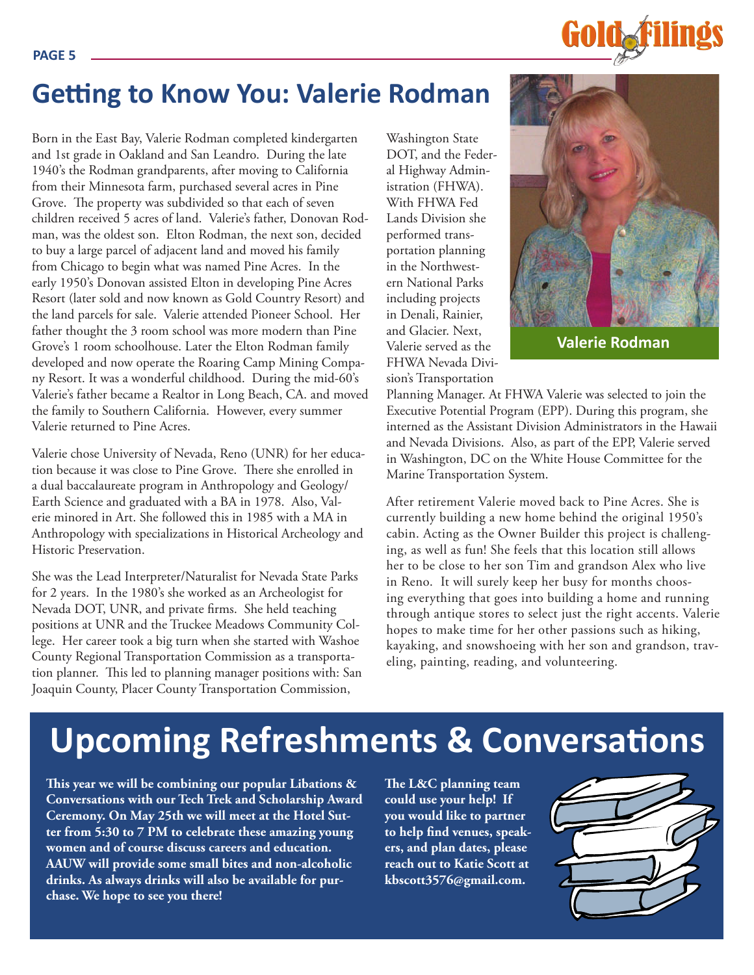#### **PAGE 5**



## **Getting to Know You: Valerie Rodman**

Born in the East Bay, Valerie Rodman completed kindergarten and 1st grade in Oakland and San Leandro. During the late 1940's the Rodman grandparents, after moving to California from their Minnesota farm, purchased several acres in Pine Grove. The property was subdivided so that each of seven children received 5 acres of land. Valerie's father, Donovan Rodman, was the oldest son. Elton Rodman, the next son, decided to buy a large parcel of adjacent land and moved his family from Chicago to begin what was named Pine Acres. In the early 1950's Donovan assisted Elton in developing Pine Acres Resort (later sold and now known as Gold Country Resort) and the land parcels for sale. Valerie attended Pioneer School. Her father thought the 3 room school was more modern than Pine Grove's 1 room schoolhouse. Later the Elton Rodman family developed and now operate the Roaring Camp Mining Company Resort. It was a wonderful childhood. During the mid-60's Valerie's father became a Realtor in Long Beach, CA. and moved the family to Southern California. However, every summer Valerie returned to Pine Acres.

Valerie chose University of Nevada, Reno (UNR) for her education because it was close to Pine Grove. There she enrolled in a dual baccalaureate program in Anthropology and Geology/ Earth Science and graduated with a BA in 1978. Also, Valerie minored in Art. She followed this in 1985 with a MA in Anthropology with specializations in Historical Archeology and Historic Preservation.

She was the Lead Interpreter/Naturalist for Nevada State Parks for 2 years. In the 1980's she worked as an Archeologist for Nevada DOT, UNR, and private firms. She held teaching positions at UNR and the Truckee Meadows Community College. Her career took a big turn when she started with Washoe County Regional Transportation Commission as a transportation planner. This led to planning manager positions with: San Joaquin County, Placer County Transportation Commission,

Washington State DOT, and the Federal Highway Administration (FHWA). With FHWA Fed Lands Division she performed transportation planning in the Northwestern National Parks including projects in Denali, Rainier, and Glacier. Next, Valerie served as the FHWA Nevada Division's Transportation



**Valerie Rodman**

Planning Manager. At FHWA Valerie was selected to join the Executive Potential Program (EPP). During this program, she interned as the Assistant Division Administrators in the Hawaii and Nevada Divisions. Also, as part of the EPP, Valerie served in Washington, DC on the White House Committee for the Marine Transportation System.

After retirement Valerie moved back to Pine Acres. She is currently building a new home behind the original 1950's cabin. Acting as the Owner Builder this project is challenging, as well as fun! She feels that this location still allows her to be close to her son Tim and grandson Alex who live in Reno. It will surely keep her busy for months choosing everything that goes into building a home and running through antique stores to select just the right accents. Valerie hopes to make time for her other passions such as hiking, kayaking, and snowshoeing with her son and grandson, traveling, painting, reading, and volunteering.

# **Upcoming Refreshments & Conversations**

**This year we will be combining our popular Libations & Conversations with our Tech Trek and Scholarship Award Ceremony. On May 25th we will meet at the Hotel Sutter from 5:30 to 7 PM to celebrate these amazing young women and of course discuss careers and education. AAUW will provide some small bites and non-alcoholic drinks. As always drinks will also be available for purchase. We hope to see you there!**

**The L&C planning team could use your help! If you would like to partner to help find venues, speakers, and plan dates, please reach out to Katie Scott at kbscott3576@gmail.com.**

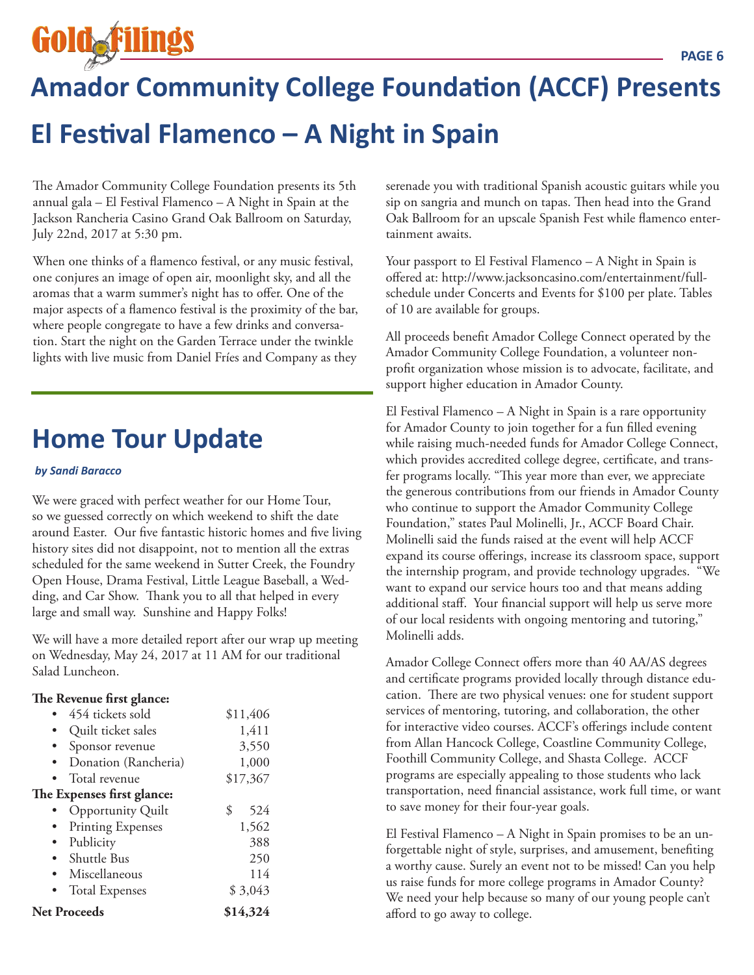**Golda** 

# **Amador Community College Foundation (ACCF) Presents El Festival Flamenco – A Night in Spain**

The Amador Community College Foundation presents its 5th annual gala – El Festival Flamenco – A Night in Spain at the Jackson Rancheria Casino Grand Oak Ballroom on Saturday, July 22nd, 2017 at 5:30 pm.

When one thinks of a flamenco festival, or any music festival, one conjures an image of open air, moonlight sky, and all the aromas that a warm summer's night has to offer. One of the major aspects of a flamenco festival is the proximity of the bar, where people congregate to have a few drinks and conversation. Start the night on the Garden Terrace under the twinkle lights with live music from Daniel Fríes and Company as they

# **Home Tour Update**

#### *by Sandi Baracco*

We were graced with perfect weather for our Home Tour, so we guessed correctly on which weekend to shift the date around Easter. Our five fantastic historic homes and five living history sites did not disappoint, not to mention all the extras scheduled for the same weekend in Sutter Creek, the Foundry Open House, Drama Festival, Little League Baseball, a Wedding, and Car Show. Thank you to all that helped in every large and small way. Sunshine and Happy Folks!

We will have a more detailed report after our wrap up meeting on Wednesday, May 24, 2017 at 11 AM for our traditional Salad Luncheon.

#### **The Revenue first glance:**

| 454 tickets sold           | \$11,406  |  |
|----------------------------|-----------|--|
| Quilt ticket sales         | 1,411     |  |
| Sponsor revenue            | 3,550     |  |
| Donation (Rancheria)       | 1,000     |  |
| • Total revenue            | \$17,367  |  |
| The Expenses first glance: |           |  |
| <b>Opportunity Quilt</b>   | \$<br>524 |  |
| <b>Printing Expenses</b>   | 1,562     |  |
| Publicity                  | 388       |  |
| • Shuttle Bus              | 250       |  |
| Miscellaneous              | 114       |  |
| <b>Total Expenses</b>      | \$3,043   |  |
| <b>Net Proceeds</b>        | \$14,324  |  |

serenade you with traditional Spanish acoustic guitars while you sip on sangria and munch on tapas. Then head into the Grand Oak Ballroom for an upscale Spanish Fest while flamenco entertainment awaits.

Your passport to El Festival Flamenco – A Night in Spain is offered at: http://www.jacksoncasino.com/entertainment/fullschedule under Concerts and Events for \$100 per plate. Tables of 10 are available for groups.

All proceeds benefit Amador College Connect operated by the Amador Community College Foundation, a volunteer nonprofit organization whose mission is to advocate, facilitate, and support higher education in Amador County.

El Festival Flamenco – A Night in Spain is a rare opportunity for Amador County to join together for a fun filled evening while raising much-needed funds for Amador College Connect, which provides accredited college degree, certificate, and transfer programs locally. "This year more than ever, we appreciate the generous contributions from our friends in Amador County who continue to support the Amador Community College Foundation," states Paul Molinelli, Jr., ACCF Board Chair. Molinelli said the funds raised at the event will help ACCF expand its course offerings, increase its classroom space, support the internship program, and provide technology upgrades. "We want to expand our service hours too and that means adding additional staff. Your financial support will help us serve more of our local residents with ongoing mentoring and tutoring," Molinelli adds.

Amador College Connect offers more than 40 AA/AS degrees and certificate programs provided locally through distance education. There are two physical venues: one for student support services of mentoring, tutoring, and collaboration, the other for interactive video courses. ACCF's offerings include content from Allan Hancock College, Coastline Community College, Foothill Community College, and Shasta College. ACCF programs are especially appealing to those students who lack transportation, need financial assistance, work full time, or want to save money for their four-year goals.

El Festival Flamenco – A Night in Spain promises to be an unforgettable night of style, surprises, and amusement, benefiting a worthy cause. Surely an event not to be missed! Can you help us raise funds for more college programs in Amador County? We need your help because so many of our young people can't afford to go away to college.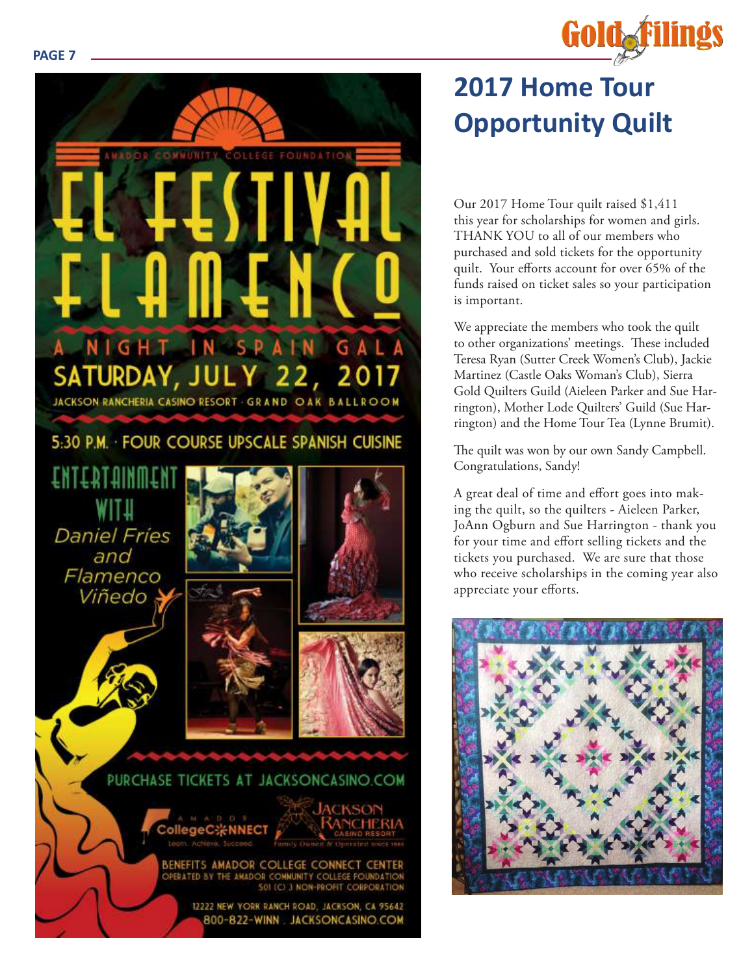#### **PAGE 7**



# **2017 Home Tour Opportunity Quilt**

**Gold Filings** 

Our 2017 Home Tour quilt raised \$1,411 this year for scholarships for women and girls. THANK YOU to all of our members who purchased and sold tickets for the opportunity quilt. Your efforts account for over 65% of the funds raised on ticket sales so your participation is important.

We appreciate the members who took the quilt to other organizations' meetings. These included Teresa Ryan (Sutter Creek Women's Club), Jackie Martinez (Castle Oaks Woman's Club), Sierra Gold Quilters Guild (Aieleen Parker and Sue Har rington), Mother Lode Quilters' Guild (Sue Har rington) and the Home Tour Tea (Lynne Brumit).

The quilt was won by our own Sandy Campbell. Congratulations, Sandy!

A great deal of time and effort goes into mak ing the quilt, so the quilters - Aieleen Parker, JoAnn Ogburn and Sue Harrington - thank you for your time and effort selling tickets and the tickets you purchased. We are sure that those who receive scholarships in the coming year also appreciate your efforts.

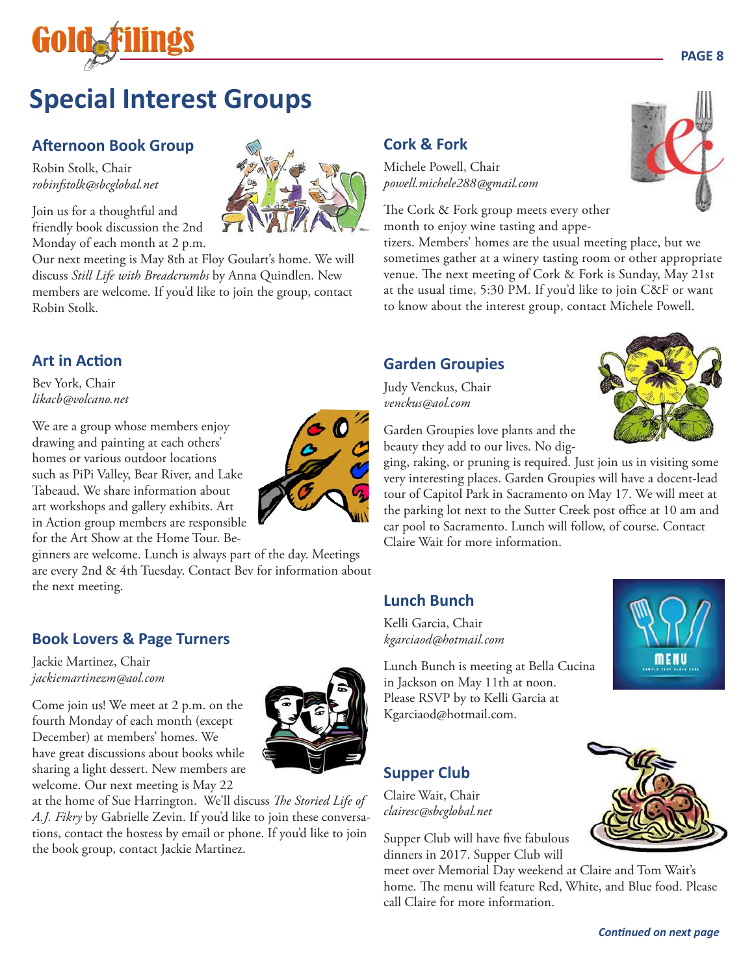

# **Special Interest Groups**

### **Afternoon Book Group**

Robin Stolk, Chair *robinfstolk@sbcglobal.net*

Join us for a thoughtful and friendly book discussion the 2nd Monday of each month at 2 p.m.

Our next meeting is May 8th at Floy Goulart's home. We will discuss *Still Life with Breadcrumbs* by Anna Quindlen. New members are welcome. If you'd like to join the group, contact Robin Stolk.

### **Art in Action**

Bev York, Chair *likacb@volcano.net*

We are a group whose members enjoy drawing and painting at each others' homes or various outdoor locations such as PiPi Valley, Bear River, and Lake Tabeaud. We share information about art workshops and gallery exhibits. Art in Action group members are responsible for the Art Show at the Home Tour. Be-

ginners are welcome. Lunch is always part of the day. Meetings are every 2nd & 4th Tuesday. Contact Bev for information about the next meeting.

### **Book Lovers & Page Turners**

Jackie Martinez, Chair *jackiemartinezm@aol.com*

Come join us! We meet at 2 p.m. on the fourth Monday of each month (except December) at members' homes. We have great discussions about books while sharing a light dessert. New members are welcome. Our next meeting is May 22



at the home of Sue Harrington. We'll discuss *The Storied Life of A.J. Fikry* by Gabrielle Zevin. If you'd like to join these conversations, contact the hostess by email or phone. If you'd like to join the book group, contact Jackie Martinez.

## **Cork & Fork**

Michele Powell, Chair *powell.michele288@gmail.com*

The Cork & Fork group meets every other month to enjoy wine tasting and appe-

tizers. Members' homes are the usual meeting place, but we sometimes gather at a winery tasting room or other appropriate venue. The next meeting of Cork & Fork is Sunday, May 21st at the usual time, 5:30 PM. If you'd like to join C&F or want to know about the interest group, contact Michele Powell.

### **Garden Groupies**

Judy Venckus, Chair *venckus@aol.com*

Garden Groupies love plants and the beauty they add to our lives. No dig-

ging, raking, or pruning is required. Just join us in visiting some very interesting places. Garden Groupies will have a docent-lead tour of Capitol Park in Sacramento on May 17. We will meet at the parking lot next to the Sutter Creek post office at 10 am and car pool to Sacramento. Lunch will follow, of course. Contact Claire Wait for more information.

### **Lunch Bunch**

Kelli Garcia, Chair *kgarciaod@hotmail.com* 

Lunch Bunch is meeting at Bella Cucina in Jackson on May 11th at noon. Please RSVP by to Kelli Garcia at Kgarciaod@hotmail.com.

### **Supper Club**

Claire Wait, Chair *clairesc@sbcglobal.net*

Supper Club will have five fabulous dinners in 2017. Supper Club will

meet over Memorial Day weekend at Claire and Tom Wait's home. The menu will feature Red, White, and Blue food. Please call Claire for more information.